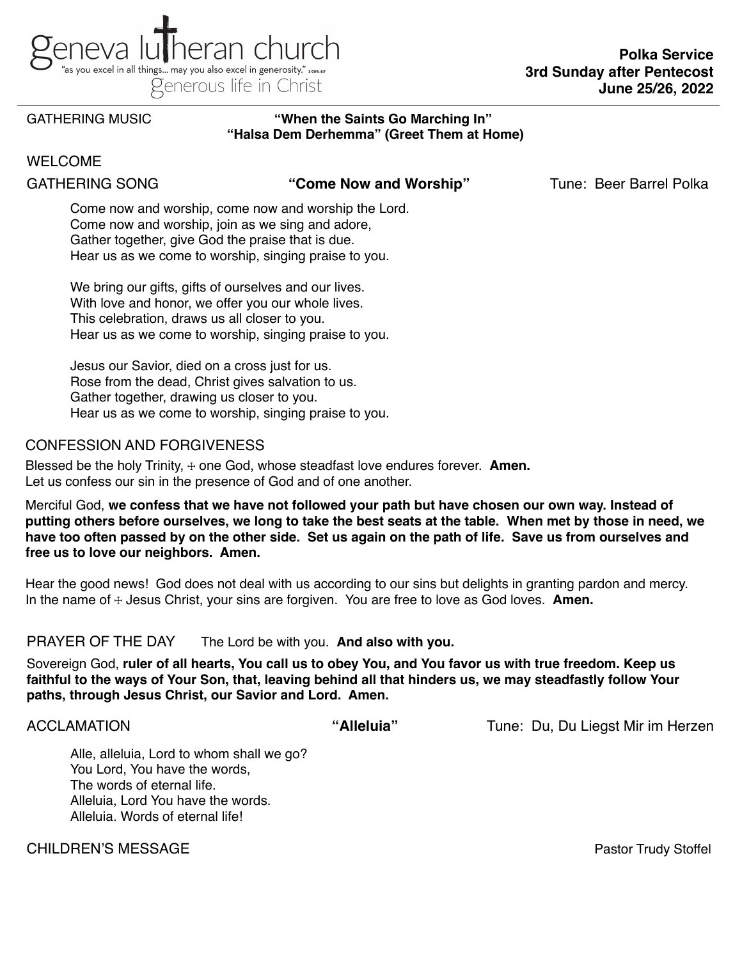

### GATHERING MUSIC **"When the Saints Go Marching In" "Halsa Dem Derhemma" (Greet Them at Home)**

## WELCOME

GATHERING SONG "Come Now and Worship" Tune: Beer Barrel Polka<br>Come now and worship, come now and worship the Lord. Come now and worship, join as we sing and adore, Gather together, give God the praise that is due. Hear us as we come to worship, singing praise to you.

We bring our gifts, gifts of ourselves and our lives. With love and honor, we offer you our whole lives. This celebration, draws us all closer to you. Hear us as we come to worship, singing praise to you.

Jesus our Savior, died on a cross just for us. Rose from the dead, Christ gives salvation to us. Gather together, drawing us closer to you. Hear us as we come to worship, singing praise to you.

# CONFESSION AND FORGIVENESS

Blessed be the holy Trinity,  $\pm$  one God, whose steadfast love endures forever. **Amen.** Let us confess our sin in the presence of God and of one another.

Merciful God, **we confess that we have not followed your path but have chosen our own way. Instead of putting others before ourselves, we long to take the best seats at the table. When met by those in need, we have too often passed by on the other side. Set us again on the path of life. Save us from ourselves and free us to love our neighbors. Amen.**

Hear the good news! God does not deal with us according to our sins but delights in granting pardon and mercy. In the name of  $\div$  Jesus Christ, your sins are forgiven. You are free to love as God loves. **Amen.** 

### PRAYER OF THE DAY The Lord be with you. **And also with you.**

Sovereign God, **ruler of all hearts, You call us to obey You, and You favor us with true freedom. Keep us faithful to the ways of Your Son, that, leaving behind all that hinders us, we may steadfastly follow Your paths, through Jesus Christ, our Savior and Lord. Amen.**

ACCLAMATION **"Alleluia"** Tune: Du, Du Liegst Mir im Herzen

Alle, alleluia, Lord to whom shall we go? You Lord, You have the words, The words of eternal life. Alleluia, Lord You have the words. Alleluia. Words of eternal life!

CHILDREN'S MESSAGEPastor Trudy Stoffel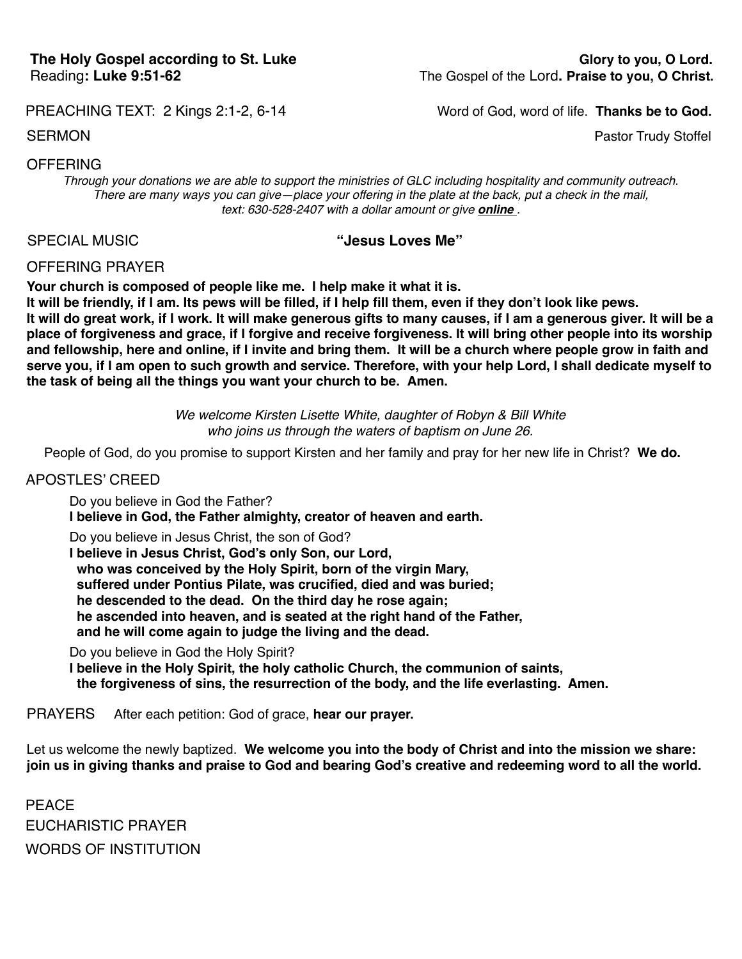### PREACHING TEXT: 2 Kings 2:1-2, 6-14 *Word of God, word of life.* **Thanks be to God.**

### SERMON Pastor Trudy Stoffel

## OFFERING

*Through your donations we are able to support the ministries of GLC including hospitality and community outreach. There are many ways you can give—place your offering in the plate at the back, put a check in the mail, text: 630-528-2407 with a dollar amount or give [online](https://secure.myvanco.com/YNE6) .*

## SPECIAL MUSIC **"Jesus Loves Me"**

OFFERING PRAYER

**Your church is composed of people like me. I help make it what it is.**

**It will be friendly, if I am. Its pews will be filled, if I help fill them, even if they don't look like pews. It will do great work, if I work. It will make generous gifts to many causes, if I am a generous giver. It will be a place of forgiveness and grace, if I forgive and receive forgiveness. It will bring other people into its worship and fellowship, here and online, if I invite and bring them. It will be a church where people grow in faith and serve you, if I am open to such growth and service. Therefore, with your help Lord, I shall dedicate myself to the task of being all the things you want your church to be. Amen.**

> *We welcome Kirsten Lisette White, daughter of Robyn & Bill White who joins us through the waters of baptism on June 26.*

People of God, do you promise to support Kirsten and her family and pray for her new life in Christ? **We do.**

### APOSTLES' CREED

Do you believe in God the Father? **I believe in God, the Father almighty, creator of heaven and earth.**

Do you believe in Jesus Christ, the son of God? **I believe in Jesus Christ, God's only Son, our Lord, who was conceived by the Holy Spirit, born of the virgin Mary, suffered under Pontius Pilate, was crucified, died and was buried; he descended to the dead. On the third day he rose again; he ascended into heaven, and is seated at the right hand of the Father, and he will come again to judge the living and the dead.**

Do you believe in God the Holy Spirit?

**I believe in the Holy Spirit, the holy catholic Church, the communion of saints, the forgiveness of sins, the resurrection of the body, and the life everlasting. Amen.**

PRAYERS After each petition: God of grace, **hear our prayer.**

Let us welcome the newly baptized. **We welcome you into the body of Christ and into the mission we share: join us in giving thanks and praise to God and bearing God's creative and redeeming word to all the world.** 

PEACE EUCHARISTIC PRAYER WORDS OF INSTITUTION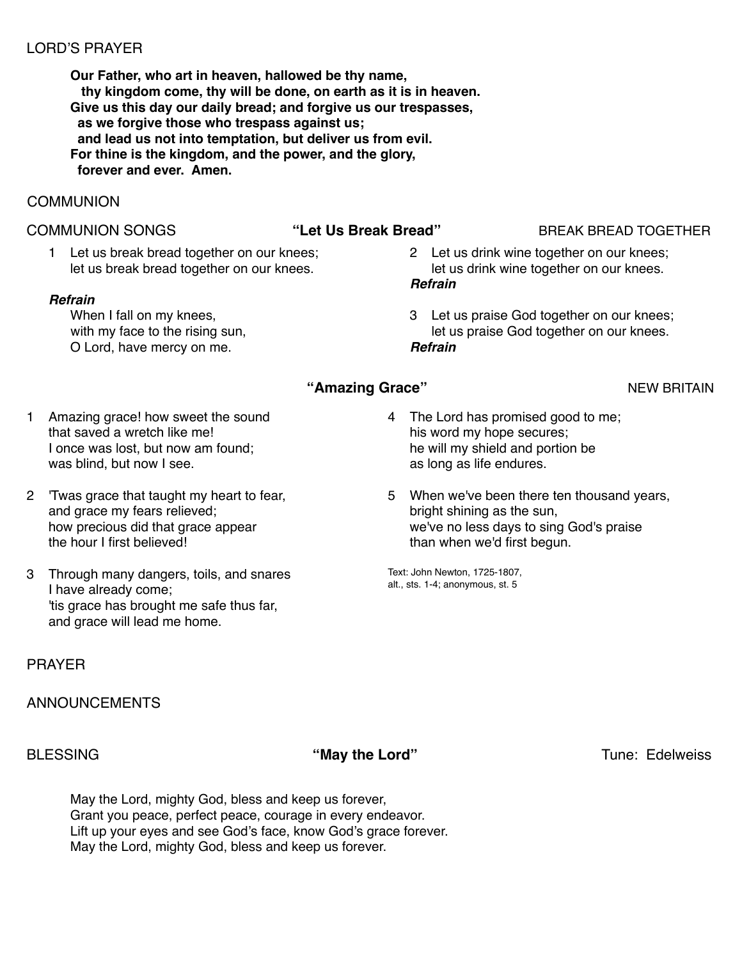# LORD'S PRAYER

**Our Father, who art in heaven, hallowed be thy name, thy kingdom come, thy will be done, on earth as it is in heaven. Give us this day our daily bread; and forgive us our trespasses, as we forgive those who trespass against us; and lead us not into temptation, but deliver us from evil. For thine is the kingdom, and the power, and the glory, forever and ever. Amen.**

# **COMMUNION**

## COMMUNION SONGS **"Let Us Break Bread"** BREAK BREAD TOGETHER

1 Let us break bread together on our knees; let us break bread together on our knees.

### *Refrain*

When I fall on my knees, with my face to the rising sun, O Lord, have mercy on me.

- 2 Let us drink wine together on our knees; let us drink wine together on our knees. *Refrain*
- 3 Let us praise God together on our knees; let us praise God together on our knees. *Refrain*

- 1 Amazing grace! how sweet the sound that saved a wretch like me! I once was lost, but now am found; was blind, but now I see.
- 2 'Twas grace that taught my heart to fear, and grace my fears relieved; how precious did that grace appear the hour I first believed!
- 3 Through many dangers, toils, and snares I have already come; 'tis grace has brought me safe thus far, and grace will lead me home.

# PRAYER

## ANNOUNCEMENTS

BLESSING **The Contract of Security 1999 "May the Lord" Tune: Edelweiss Tune: Edelweiss** 

May the Lord, mighty God, bless and keep us forever, Grant you peace, perfect peace, courage in every endeavor. Lift up your eyes and see God's face, know God's grace forever. May the Lord, mighty God, bless and keep us forever.

- **"Amazing Grace"** NEW BRITAIN 4 The Lord has promised good to me;
	- his word my hope secures; he will my shield and portion be as long as life endures.
	- 5 When we've been there ten thousand years, bright shining as the sun, we've no less days to sing God's praise than when we'd first begun.

Text: John Newton, 1725-1807, alt., sts. 1-4; anonymous, st. 5